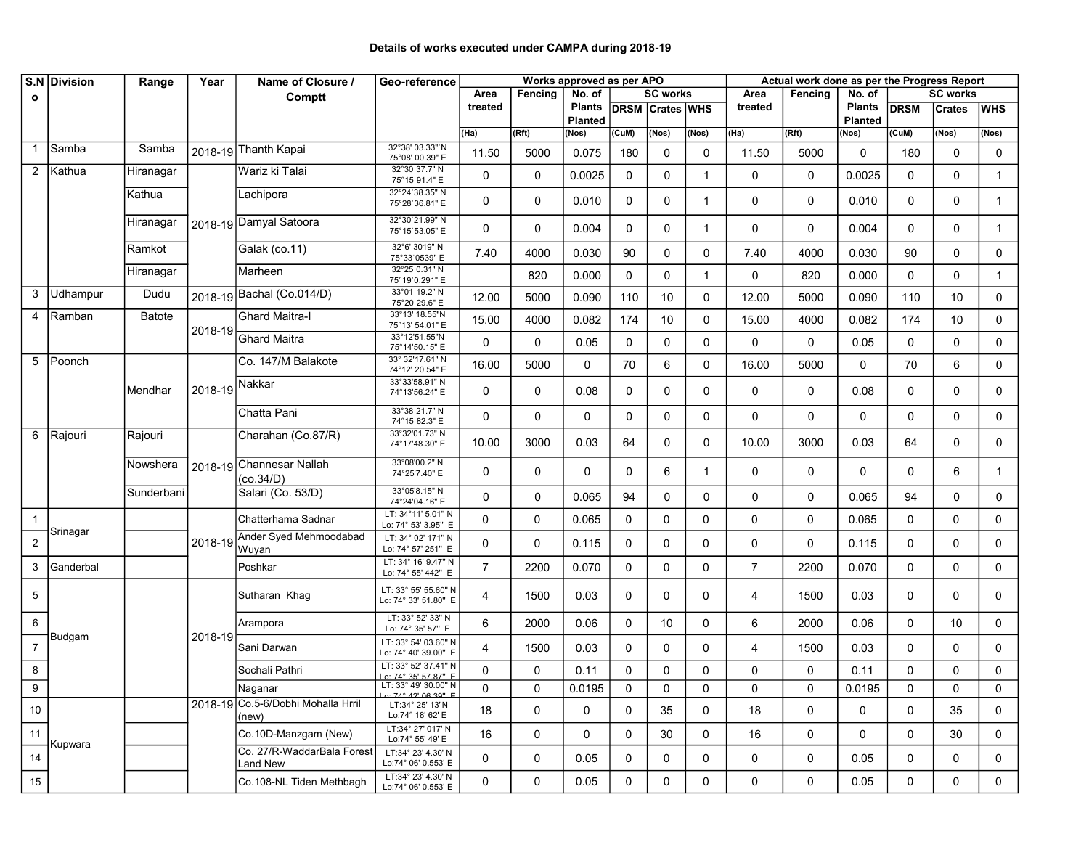## Details of works executed under CAMPA during 2018-19

|                 | S.N Division   | Range         | Year      | Name of Closure /                           | Geo-reference                                       |                | Works approved as per APO |                |                        |             |                 |                | Actual work done as per the Progress Report |               |             |               |              |  |  |  |
|-----------------|----------------|---------------|-----------|---------------------------------------------|-----------------------------------------------------|----------------|---------------------------|----------------|------------------------|-------------|-----------------|----------------|---------------------------------------------|---------------|-------------|---------------|--------------|--|--|--|
| $\mathbf{o}$    |                |               |           | Comptt                                      | <b>SC works</b><br>Area<br>No. of<br>Fencing        |                |                           | Area           | Fencing                | No. of      | <b>SC works</b> |                |                                             |               |             |               |              |  |  |  |
|                 |                |               |           |                                             |                                                     | treated        |                           | <b>Plants</b>  | <b>DRSM Crates WHS</b> |             |                 | treated        |                                             | <b>Plants</b> | <b>DRSM</b> | <b>Crates</b> | <b>WHS</b>   |  |  |  |
|                 |                |               |           |                                             |                                                     |                |                           | <b>Planted</b> |                        |             |                 |                |                                             | Planted       |             |               |              |  |  |  |
|                 |                |               |           |                                             |                                                     | (IIa)          | (Rft)                     | (Nos)          | (CuM)                  | (Nos)       | (Nos)           | (Ha)           | (Rft)                                       | (Nos)         | (CuM)       | (Nos)         | (Nos)        |  |  |  |
| -1              | Samba          | Samba         |           | 2018-19 Thanth Kapai                        | 32°38' 03.33" N<br>75°08' 00.39" E                  | 11.50          | 5000                      | 0.075          | 180                    | $\mathbf 0$ | $\mathbf 0$     | 11.50          | 5000                                        | $\mathbf 0$   | 180         | $\mathbf 0$   | $\mathbf 0$  |  |  |  |
| $\overline{2}$  | Kathua         | Hiranagar     |           | Wariz ki Talai                              | 32°30'37.7" N<br>75°15'91.4" E                      | 0              | 0                         | 0.0025         | 0                      | 0           | $\mathbf{1}$    | 0              | 0                                           | 0.0025        | 0           | $\mathbf 0$   | $\mathbf{1}$ |  |  |  |
|                 |                | Kathua        |           | Lachipora                                   | 32°24'38.35" N<br>75°28'36.81" E                    | $\mathbf{0}$   | 0                         | 0.010          | 0                      | 0           | 1               | $\mathbf{0}$   | $\mathbf 0$                                 | 0.010         | $\mathbf 0$ | 0             | $\mathbf{1}$ |  |  |  |
|                 |                | Hiranagar     |           | 2018-19 Damyal Satoora                      | 32°30'21.99" N<br>75°15'53.05" E                    | $\Omega$       | $\mathbf 0$               | 0.004          | 0                      | 0           | $\mathbf 1$     | 0              | $\mathbf 0$                                 | 0.004         | $\mathbf 0$ | $\mathbf 0$   | $\mathbf{1}$ |  |  |  |
|                 |                | Ramkot        |           | Galak (co.11)                               | 32°6' 3019" N<br>75°33'0539" E                      | 7.40           | 4000                      | 0.030          | 90                     | 0           | 0               | 7.40           | 4000                                        | 0.030         | 90          | 0             | $\mathbf 0$  |  |  |  |
|                 |                | Hiranagar     |           | Marheen                                     | 32°25'0.31" N<br>75°19'0.291" E                     |                | 820                       | 0.000          | 0                      | 0           | 1               | 0              | 820                                         | 0.000         | $\mathbf 0$ | 0             | $\mathbf{1}$ |  |  |  |
| 3               | Udhampur       | Dudu          |           | 2018-19 Bachal (Co.014/D)                   | 33°01′19.2" N<br>75°20'29.6" E                      | 12.00          | 5000                      | 0.090          | 110                    | 10          | 0               | 12.00          | 5000                                        | 0.090         | 110         | 10            | $\mathbf 0$  |  |  |  |
| 4               | Ramban         | <b>Batote</b> | $2018-19$ | <b>Ghard Maitra-I</b>                       | 33°13' 18.55"N<br>75°13' 54.01" E                   | 15.00          | 4000                      | 0.082          | 174                    | 10          | $\Omega$        | 15.00          | 4000                                        | 0.082         | 174         | 10            | $\mathbf 0$  |  |  |  |
|                 |                |               |           | <b>Ghard Maitra</b>                         | 33°12'51.55"N<br>75°14'50.15" E                     | 0              | 0                         | 0.05           | $\mathbf 0$            | 0           | $\mathbf 0$     | 0              | $\mathbf 0$                                 | 0.05          | $\mathbf 0$ | 0             | $\mathbf 0$  |  |  |  |
| 5               | <b>TPoonch</b> |               |           | Co. 147/M Balakote                          | 33° 32'17.61" N<br>74°12' 20.54" E                  | 16.00          | 5000                      | 0              | 70                     | 6           | 0               | 16.00          | 5000                                        | $\Omega$      | 70          | 6             | $\mathbf 0$  |  |  |  |
|                 |                | Mendhar       | 2018-19   | Nakkar                                      | 33°33'58.91" N<br>74°13'56.24" E                    | $\mathbf{0}$   | 0                         | 0.08           | 0                      | 0           | 0               | 0              | 0                                           | 0.08          | 0           | 0             | 0            |  |  |  |
|                 |                |               |           | Chatta Pani                                 | 33°38'21.7" N<br>74°15'82.3" E                      | $\mathbf 0$    | $\Omega$                  | 0              | $\mathbf 0$            | 0           | 0               | $\mathbf 0$    | $\mathbf{0}$                                | 0             | $\Omega$    | 0             | $\mathbf 0$  |  |  |  |
|                 | 6 Rajouri      | Rajouri       |           | Charahan (Co.87/R)                          | 33°32'01.73" N<br>74°17'48.30" E                    | 10.00          | 3000                      | 0.03           | 64                     | 0           | 0               | 10.00          | 3000                                        | 0.03          | 64          | 0             | 0            |  |  |  |
|                 |                | Nowshera      |           | 2018-19 Channesar Nallah<br>(co.34/D)       | 33°08'00.2" N<br>74°25'7.40" E                      | $\mathbf{0}$   | 0                         | 0              | 0                      | 6           | 1               | 0              | 0                                           | 0             | 0           | 6             | $\mathbf{1}$ |  |  |  |
|                 |                | Sunderbani    |           | Salari (Co. 53/D)                           | 33°05'8.15" N<br>74°24'04.16" E                     | $\mathbf{0}$   | $\Omega$                  | 0.065          | 94                     | 0           | 0               | 0              | $\mathbf 0$                                 | 0.065         | 94          | $\mathbf 0$   | 0            |  |  |  |
| $\overline{1}$  | Srinagar       |               |           | Chatterhama Sadnar                          | LT: 34°11' 5.01" N<br>Lo: 74° 53' 3.95" E           | $\Omega$       | 0                         | 0.065          | 0                      | 0           | $\mathbf 0$     | $\mathbf 0$    | 0                                           | 0.065         | 0           | 0             | $\mathbf 0$  |  |  |  |
| $\overline{2}$  |                |               | 2018-19   | Ander Syed Mehmoodabad<br>Wuyan             | LT: 34° 02' 171" N<br>Lo: 74° 57' 251" E            | $\mathbf 0$    | 0                         | 0.115          | 0                      | 0           | $\Omega$        | 0              | 0                                           | 0.115         | 0           | 0             | 0            |  |  |  |
| 3               | Ganderbal      |               |           | Poshkar                                     | LT: 34° 16' 9.47" N<br>Lo: 74° 55' 442" E           | $\overline{7}$ | 2200                      | 0.070          | $\Omega$               | $\mathbf 0$ | $\Omega$        | $\overline{7}$ | 2200                                        | 0.070         | $\Omega$    | 0             | $\mathbf 0$  |  |  |  |
| $5\phantom{.0}$ |                |               |           | Sutharan Khag                               | LT: 33° 55' 55.60" N<br>Lo: 74° 33' 51.80" E        | $\overline{4}$ | 1500                      | 0.03           | 0                      | 0           | $\Omega$        | 4              | 1500                                        | 0.03          | 0           | 0             | 0            |  |  |  |
| 6               |                |               |           | Arampora                                    | LT: 33° 52' 33" N<br>Lo: 74° 35' 57" E              | 6              | 2000                      | 0.06           | $\mathbf 0$            | 10          | 0               | 6              | 2000                                        | 0.06          | $\mathbf 0$ | 10            | $\mathbf 0$  |  |  |  |
| $\overline{7}$  | Budgam         |               | 2018-19   | Sani Darwan                                 | LT: 33° 54' 03.60" N<br>Lo: 74° 40' 39.00" E        | 4              | 1500                      | 0.03           | 0                      | 0           | 0               | 4              | 1500                                        | 0.03          | 0           | 0             | 0            |  |  |  |
| 8               |                |               |           | Sochali Pathri                              | LT: 33° 52' 37.41" N<br>Lo: 74° 35' 57.87" E        | 0              | 0                         | 0.11           | 0                      | 0           | 0               | 0              | 0                                           | 0.11          | 0           | 0             | $\mathbf 0$  |  |  |  |
| 9               |                |               |           | Naganar                                     | LT: 33° 49' 30.00" N<br>$0.74^\circ 12' 06 30'' $ F | 0              | $\Omega$                  | 0.0195         | $\Omega$               | $\pmb{0}$   | 0               | 0              | 0                                           | 0.0195        | $\Omega$    | 0             | $\Omega$     |  |  |  |
| 10              |                |               |           | 2018-19 Co.5-6/Dobhi Mohalla Hrril<br>(new) | LT:34° 25' 13"N<br>Lo:74° 18' 62' E                 | 18             | 0                         | 0              | $\mathbf 0$            | 35          | 0               | 18             | 0                                           | 0             | 0           | 35            | 0            |  |  |  |
| 11              |                |               |           | Co.10D-Manzgam (New)                        | LT:34° 27' 017' N<br>Lo:74° 55' 49' E               | 16             | 0                         | $\mathbf 0$    | 0                      | 30          | 0               | 16             | 0                                           | 0             | 0           | 30            | 0            |  |  |  |
| 14              | Kupwara        |               |           | Co. 27/R-WaddarBala Forest<br>Land New      | LT:34° 23' 4.30' N<br>Lo:74° 06' 0.553' E           | $\mathbf 0$    | $\mathbf 0$               | 0.05           | 0                      | 0           | 0               | $\mathbf 0$    | 0                                           | 0.05          | 0           | 0             | $\mathbf{0}$ |  |  |  |
| 15              |                |               |           | Co.108-NL Tiden Methbagh                    | LT:34° 23' 4.30' N<br>Lo:74° 06' 0.553' E           | 0              | $\mathbf 0$               | 0.05           | 0                      | 0           | 0               | 0              | 0                                           | 0.05          | 0           | 0             | $\mathbf 0$  |  |  |  |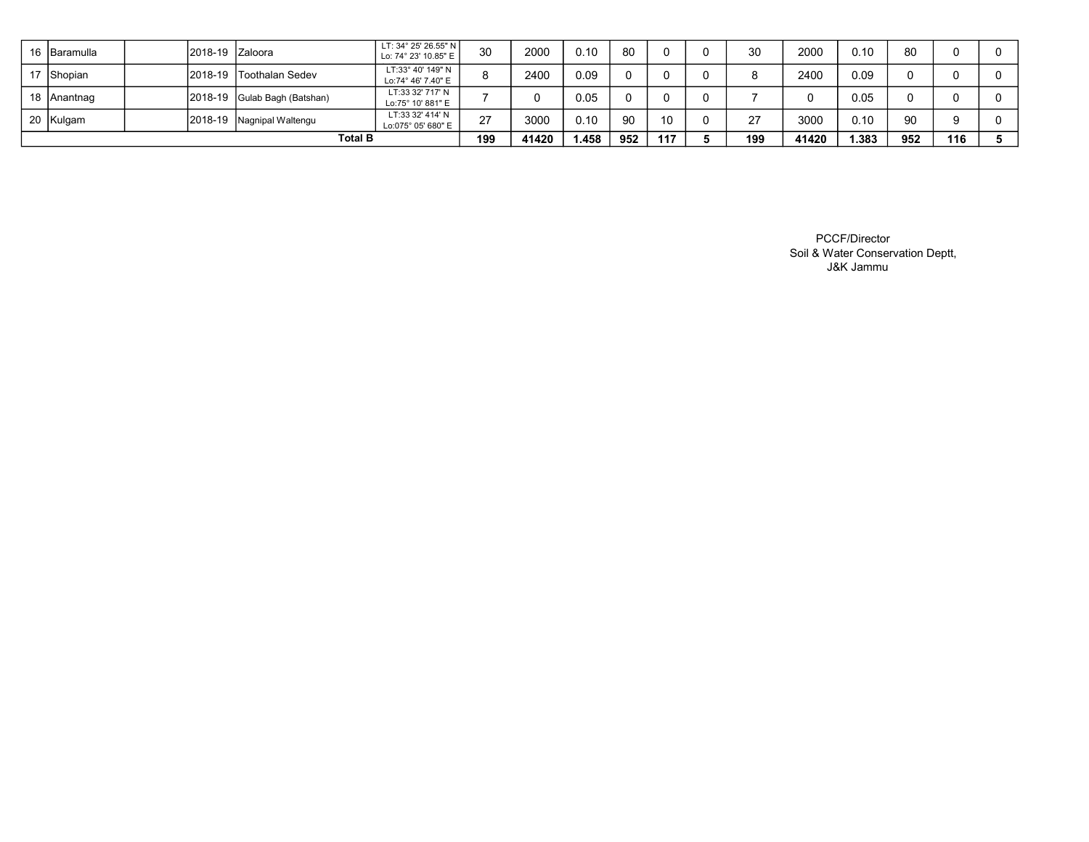| 16 Baramulla   |  | 2018-19 Zaloora |                           | LT: 34° 25' 26.55" N<br>Lo: 74° 23' 10.85" E | 30     | 2000  | 0.10  | 80  |     | 30  | 2000  | 0.10  | 80  |     |  |
|----------------|--|-----------------|---------------------------|----------------------------------------------|--------|-------|-------|-----|-----|-----|-------|-------|-----|-----|--|
| 17 Shopian     |  | 2018-19         | <b>Toothalan Sedev</b>    | LT:33° 40' 149" N<br>Lo:74° 46' 7.40" E      |        | 2400  | 0.09  |     |     |     | 2400  | 0.09  |     |     |  |
| 18 Anantnag    |  | 2018-19         | Gulab Bagh (Batshan)      | LT:33 32' 717' N<br>Lo:75° 10' 881" E        |        |       | 0.05  |     |     |     |       | 0.05  |     |     |  |
| 20 Kulgam      |  |                 | 2018-19 Nagnipal Waltengu | LT:33 32' 414' N<br>Lo:075° 05' 680" E       | $\sim$ | 3000  | 0.10  | 90  |     | 77  | 3000  | 0.10  | 90  |     |  |
| <b>Total B</b> |  |                 |                           |                                              | 199    | 41420 | 1.458 | 952 | 117 | 199 | 41420 | 1.383 | 952 | 116 |  |

PCCF/Director Soil & Water Conservation Deptt, J&K Jammu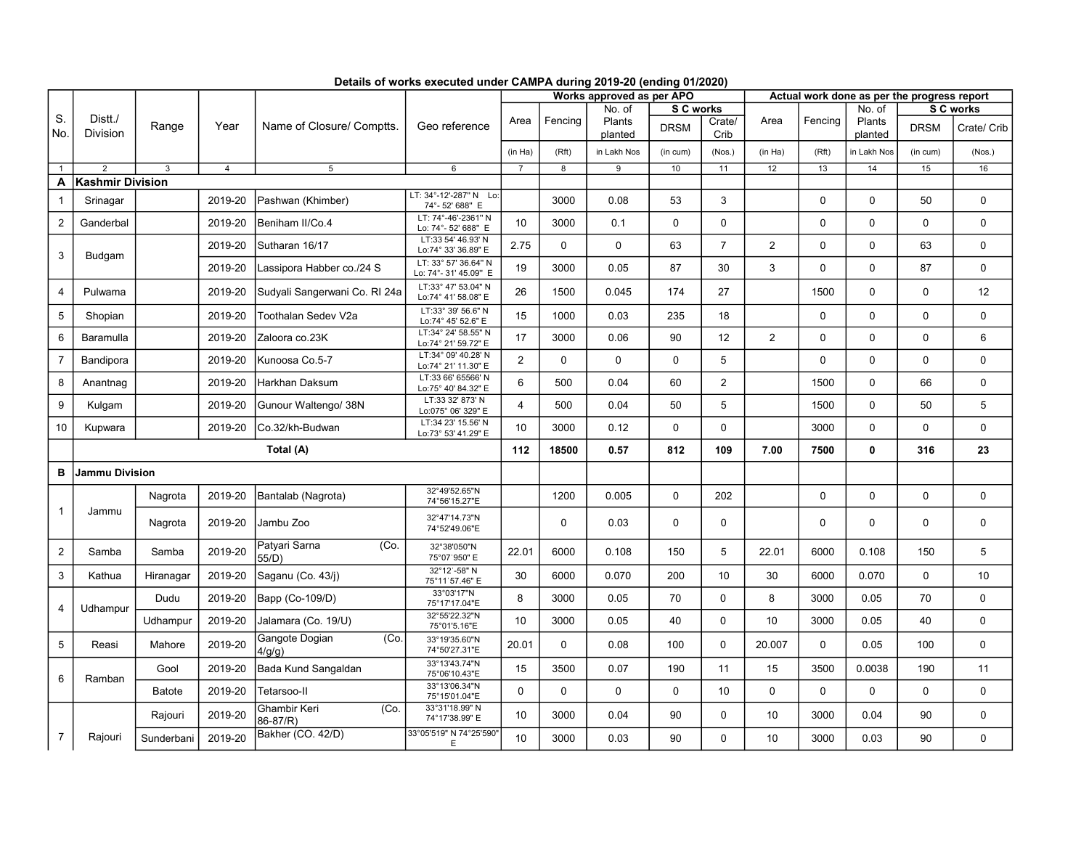|                |                            |               |                |                                  |                                              |                | Works approved as per APO |                   |             |                |                | Actual work done as per the progress report |                   |             |              |  |  |
|----------------|----------------------------|---------------|----------------|----------------------------------|----------------------------------------------|----------------|---------------------------|-------------------|-------------|----------------|----------------|---------------------------------------------|-------------------|-------------|--------------|--|--|
|                |                            |               |                |                                  |                                              |                |                           | No. of            | S C works   |                |                |                                             | No. of            |             | S C works    |  |  |
| S.<br>No.      | Distt./<br><b>Division</b> | Range         | Year           | Name of Closure/ Comptts.        | Geo reference                                | Area           | Fencing                   | Plants<br>planted | <b>DRSM</b> | Crate/<br>Crib | Area           | Fencing                                     | Plants<br>planted | <b>DRSM</b> | Crate/ Crib  |  |  |
|                |                            |               |                |                                  |                                              | (in Ha)        | (Rft)                     | in Lakh Nos       | (in cum)    | (Nos.)         | (in Ha)        | (Rft)                                       | in Lakh Nos       | (in cum)    | (Nos.)       |  |  |
| $\mathbf{1}$   | 2                          | 3             | $\overline{4}$ | 5                                | 6                                            | $\overline{7}$ | $\overline{8}$            | 9                 | 10          | 11             | 12             | 13                                          | 14                | 15          | 16           |  |  |
| A              | <b>Kashmir Division</b>    |               |                |                                  |                                              |                |                           |                   |             |                |                |                                             |                   |             |              |  |  |
| $\mathbf{1}$   | Srinagar                   |               | 2019-20        | Pashwan (Khimber)                | LT: 34°-12'-287" N Lo:<br>74°-52' 688" E     |                | 3000                      | 0.08              | 53          | 3              |                | $\mathbf 0$                                 | $\Omega$          | 50          | $\mathbf 0$  |  |  |
| $\overline{2}$ | Ganderbal                  |               | 2019-20        | Beniham II/Co.4                  | LT: 74°-46'-2361" N<br>Lo: 74°- 52' 688" E   | 10             | 3000                      | 0.1               | $\mathbf 0$ | $\mathbf 0$    |                | 0                                           | 0                 | 0           | $\mathsf 0$  |  |  |
| 3              | Budgam                     |               | 2019-20        | Sutharan 16/17                   | LT:33 54' 46.93' N<br>Lo:74° 33' 36.89" E    | 2.75           | $\mathbf 0$               | $\mathbf 0$       | 63          | $\overline{7}$ | 2              | 0                                           | $\Omega$          | 63          | $\mathbf 0$  |  |  |
|                |                            |               | 2019-20        | Lassipora Habber co./24 S        | LT: 33° 57' 36.64" N<br>Lo: 74°-31' 45.09" E | 19             | 3000                      | 0.05              | 87          | 30             | 3              | $\mathbf 0$                                 | $\Omega$          | 87          | $\mathsf{O}$ |  |  |
| $\overline{4}$ | Pulwama                    |               | 2019-20        | Sudyali Sangerwani Co. RI 24a    | LT:33° 47' 53.04" N<br>Lo:74° 41' 58.08" E   | 26             | 1500                      | 0.045             | 174         | 27             |                | 1500                                        | $\Omega$          | 0           | 12           |  |  |
| 5              | Shopian                    |               | 2019-20        | Toothalan Sedev V2a              | LT:33° 39' 56.6" N<br>Lo:74° 45' 52.6" E     | 15             | 1000                      | 0.03              | 235         | 18             |                | 0                                           | 0                 | 0           | $\mathsf{O}$ |  |  |
| 6              | Baramulla                  |               | 2019-20        | Zaloora co.23K                   | LT:34° 24' 58.55" N<br>Lo:74° 21' 59.72" E   | 17             | 3000                      | 0.06              | 90          | 12             | $\overline{2}$ | 0                                           | 0                 | 0           | 6            |  |  |
| $\overline{7}$ | Bandipora                  |               | 2019-20        | Kunoosa Co.5-7                   | LT:34° 09' 40.28' N<br>Lo:74° 21' 11.30" E   | 2              | 0                         | 0                 | $\mathbf 0$ | 5              |                | 0                                           | 0                 | 0           | $\mathsf{O}$ |  |  |
| 8              | Anantnag                   |               | 2019-20        | Harkhan Daksum                   | LT:33 66' 65566' N<br>Lo:75° 40' 84.32" E    | 6              | 500                       | 0.04              | 60          | $\overline{2}$ |                | 1500                                        | 0                 | 66          | $\mathsf{O}$ |  |  |
| 9              | Kulgam                     |               | 2019-20        | Gunour Waltengo/ 38N             | LT:33 32' 873' N<br>Lo:075° 06' 329" E       | $\overline{4}$ | 500                       | 0.04              | 50          | 5              |                | 1500                                        | 0                 | 50          | 5            |  |  |
| 10             | Kupwara                    |               | 2019-20        | Co.32/kh-Budwan                  | LT:34 23' 15.56' N<br>Lo:73° 53' 41.29" E    | 10             | 3000                      | 0.12              | $\mathbf 0$ | $\mathbf 0$    |                | 3000                                        | 0                 | 0           | $\mathsf{O}$ |  |  |
|                | Total (A)                  |               |                |                                  |                                              |                | 18500                     | 0.57              | 812         | 109            | 7.00           | 7500                                        | 0                 | 316         | 23           |  |  |
| в              | Jammu Division             |               |                |                                  |                                              |                |                           |                   |             |                |                |                                             |                   |             |              |  |  |
| $\mathbf{1}$   | Jammu                      | Nagrota       | 2019-20        | Bantalab (Nagrota)               | 32°49'52.65"N<br>74°56'15.27"E               |                | 1200                      | 0.005             | $\mathbf 0$ | 202            |                | 0                                           | 0                 | 0           | 0            |  |  |
|                |                            | Nagrota       | 2019-20        | Jambu Zoo                        | 32°47'14.73"N<br>74°52'49.06"E               |                | $\mathbf 0$               | 0.03              | $\Omega$    | $\mathbf 0$    |                | $\mathbf 0$                                 | $\Omega$          | 0           | $\mathbf 0$  |  |  |
| 2              | Samba                      | Samba         | 2019-20        | Patyari Sarna<br>(Co.<br>55/D    | 32°38'050"N<br>75°07'950" E                  | 22.01          | 6000                      | 0.108             | 150         | 5              | 22.01          | 6000                                        | 0.108             | 150         | 5            |  |  |
| 3              | Kathua                     | Hiranagar     | 2019-20        | Saganu (Co. 43/j)                | 32°12'-58" N<br>75°11'57.46" E               | 30             | 6000                      | 0.070             | 200         | 10             | 30             | 6000                                        | 0.070             | 0           | 10           |  |  |
| 4              | Udhampur                   | Dudu          | 2019-20        | Bapp (Co-109/D)                  | 33°03'17"N<br>75°17'17.04"E                  | 8              | 3000                      | 0.05              | 70          | $\mathbf 0$    | 8              | 3000                                        | 0.05              | 70          | $\mathbf 0$  |  |  |
|                |                            | Udhampur      | 2019-20        | Jalamara (Co. 19/U)              | 32°55'22.32"N<br>75°01'5.16"E                | 10             | 3000                      | 0.05              | 40          | $\pmb{0}$      | 10             | 3000                                        | 0.05              | 40          | $\mathbf 0$  |  |  |
| 5              | Reasi                      | Mahore        | 2019-20        | Gangote Dogian<br>(Co.<br>4/q/q) | 33°19'35.60"N<br>74°50'27.31"E               | 20.01          | $\mathbf 0$               | 0.08              | 100         | $\mathbf 0$    | 20.007         | 0                                           | 0.05              | 100         | $\mathbf 0$  |  |  |
| 6              | Ramban                     | Gool          | 2019-20        | Bada Kund Sangaldan              | 33°13'43.74"N<br>75°06'10.43"E               | 15             | 3500                      | 0.07              | 190         | 11             | 15             | 3500                                        | 0.0038            | 190         | 11           |  |  |
|                |                            | <b>Batote</b> | 2019-20        | Tetarsoo-II                      | 33°13'06.34"N<br>75°15'01.04"E               | $\mathbf 0$    | $\mathbf 0$               | $\mathbf 0$       | $\mathbf 0$ | 10             | $\mathbf 0$    | 0                                           | 0                 | 0           | 0            |  |  |
|                |                            | Rajouri       | 2019-20        | Ghambir Keri<br>(Co.<br>86-87/R) | 33°31'18.99" N<br>74°17'38.99" E             | 10             | 3000                      | 0.04              | 90          | $\mathbf 0$    | 10             | 3000                                        | 0.04              | 90          | 0            |  |  |
| $\overline{7}$ | Rajouri                    | Sunderbani    | 2019-20        | Bakher (CO. 42/D)                | 33°05'519" N 74°25'590'<br>Е                 | 10             | 3000                      | 0.03              | 90          | $\Omega$       | 10             | 3000                                        | 0.03              | 90          | $\mathbf 0$  |  |  |

Details of works executed under CAMPA during 2019-20 (ending 01/2020)